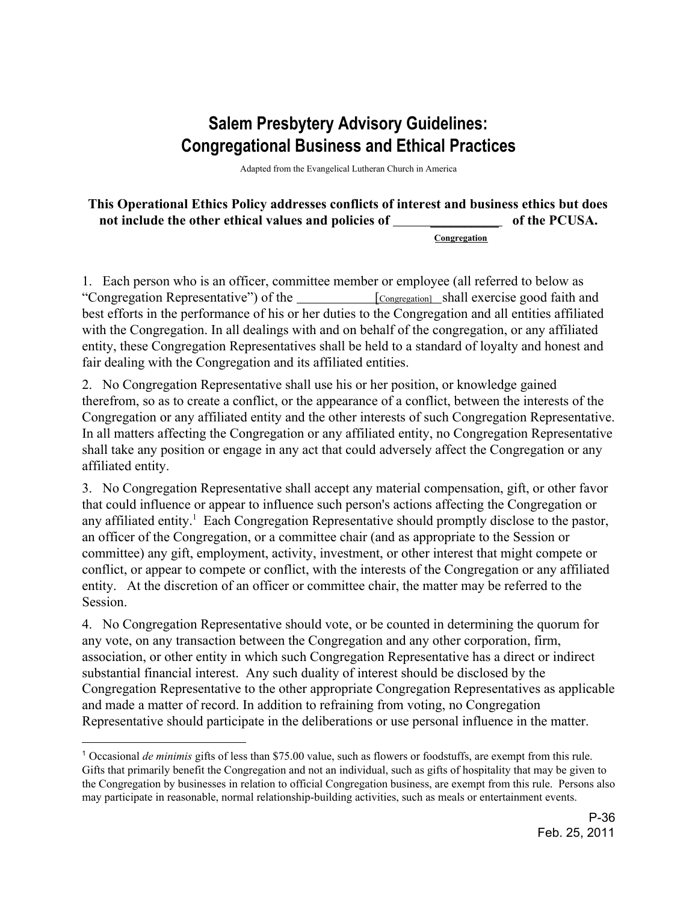## **Salem Presbytery Advisory Guidelines: Congregational Business and Ethical Practices**

Adapted from the Evangelical Lutheran Church in America

**This Operational Ethics Policy addresses conflicts of interest and business ethics but does** not include the other ethical values and policies of **the PCUSA**.

 **Congregation**

1. Each person who is an officer, committee member or employee (all referred to below as "Congregation Representative") of the [Congregation] shall exercise good faith and best efforts in the performance of his or her duties to the Congregation and all entities affiliated with the Congregation. In all dealings with and on behalf of the congregation, or any affiliated entity, these Congregation Representatives shall be held to a standard of loyalty and honest and fair dealing with the Congregation and its affiliated entities.

2. No Congregation Representative shall use his or her position, or knowledge gained therefrom, so as to create a conflict, or the appearance of a conflict, between the interests of the Congregation or any affiliated entity and the other interests of such Congregation Representative. In all matters affecting the Congregation or any affiliated entity, no Congregation Representative shall take any position or engage in any act that could adversely affect the Congregation or any affiliated entity.

3. No Congregation Representative shall accept any material compensation, gift, or other favor that could influence or appear to influence such person's actions affecting the Congregation or any affiliated entity.<sup>1</sup> Each Congregation Representative should promptly disclose to the pastor, an officer of the Congregation, or a committee chair (and as appropriate to the Session or committee) any gift, employment, activity, investment, or other interest that might compete or conflict, or appear to compete or conflict, with the interests of the Congregation or any affiliated entity. At the discretion of an officer or committee chair, the matter may be referred to the Session.

4. No Congregation Representative should vote, or be counted in determining the quorum for any vote, on any transaction between the Congregation and any other corporation, firm, association, or other entity in which such Congregation Representative has a direct or indirect substantial financial interest. Any such duality of interest should be disclosed by the Congregation Representative to the other appropriate Congregation Representatives as applicable and made a matter of record. In addition to refraining from voting, no Congregation Representative should participate in the deliberations or use personal influence in the matter.

<sup>1</sup> Occasional *de minimis* gifts of less than \$75.00 value, such as flowers or foodstuffs, are exempt from this rule. Gifts that primarily benefit the Congregation and not an individual, such as gifts of hospitality that may be given to the Congregation by businesses in relation to official Congregation business, are exempt from this rule. Persons also may participate in reasonable, normal relationship-building activities, such as meals or entertainment events.